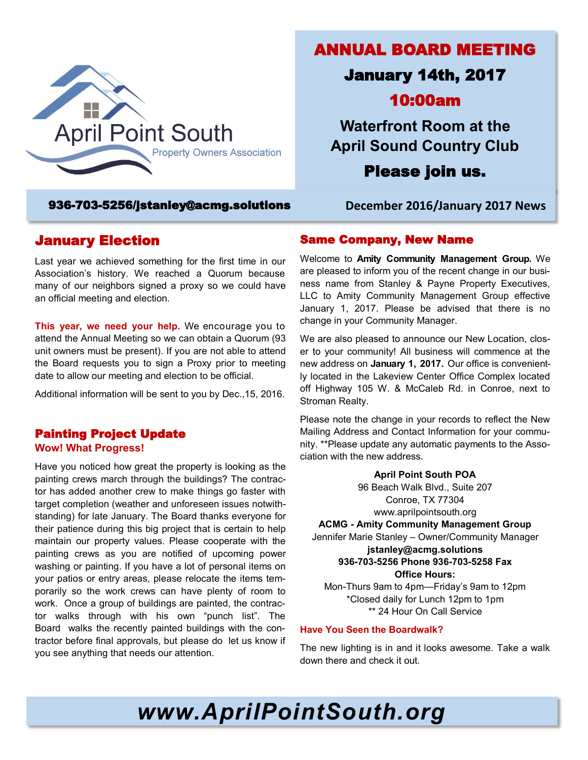

### 936-703-5256/[jstanley@acmg.solutions](mailto:jstanley@acmg.solutions) **December 2016/January 2017 News**

## January Election

Last year we achieved something for the first time in our Association's history. We reached a Quorum because many of our neighbors signed a proxy so we could have an official meeting and election.

**This year, we need your help.** We encourage you to attend the Annual Meeting so we can obtain a Quorum (93 unit owners must be present). If you are not able to attend the Board requests you to sign a Proxy prior to meeting date to allow our meeting and election to be official.

Additional information will be sent to you by Dec.,15, 2016.

#### Painting Project Update **Wow! What Progress!**

Have you noticed how great the property is looking as the painting crews march through the buildings? The contractor has added another crew to make things go faster with target completion (weather and unforeseen issues notwithstanding) for late January. The Board thanks everyone for their patience during this big project that is certain to help maintain our property values. Please cooperate with the painting crews as you are notified of upcoming power washing or painting. If you have a lot of personal items on your patios or entry areas, please relocate the items temporarily so the work crews can have plenty of room to work. Once a group of buildings are painted, the contractor walks through with his own "punch list". The Board walks the recently painted buildings with the contractor before final approvals, but please do let us know if you see anything that needs our attention.

ANNUAL BOARD MEETING

# January 14th, 2017 10:00am

**Waterfront Room at the April Sound Country Club**

Please join us.

### Same Company, New Name

Welcome to **Amity Community Management Group.** We are pleased to inform you of the recent change in our business name from Stanley & Payne Property Executives, LLC to Amity Community Management Group effective January 1, 2017. Please be advised that there is no change in your Community Manager.

We are also pleased to announce our New Location, closer to your community! All business will commence at the new address on **January 1, 2017.** Our office is conveniently located in the Lakeview Center Office Complex located off Highway 105 W. & McCaleb Rd. in Conroe, next to Stroman Realty.

Please note the change in your records to reflect the New Mailing Address and Contact Information for your community. \*\*Please update any automatic payments to the Association with the new address.

> **April Point South POA** 96 Beach Walk Blvd., Suite 207 Conroe, TX 77304 [www.aprilpointsouth.org](http://www.aprilpointsouth.org/)

**ACMG - Amity Community Management Group**

Jennifer Marie Stanley – Owner/Community Manager **[jstanley@acmg.solutions](mailto:jstanley@acmg.solutions) 936-703-5256 Phone 936-703-5258 Fax**

**Office Hours:**

Mon-Thurs 9am to 4pm—Friday's 9am to 12pm \*Closed daily for Lunch 12pm to 1pm \*\* 24 Hour On Call Service

#### **Have You Seen the Boardwalk?**

The new lighting is in and it looks awesome. Take a walk down there and check it out.

*www.AprilPointSouth.org*